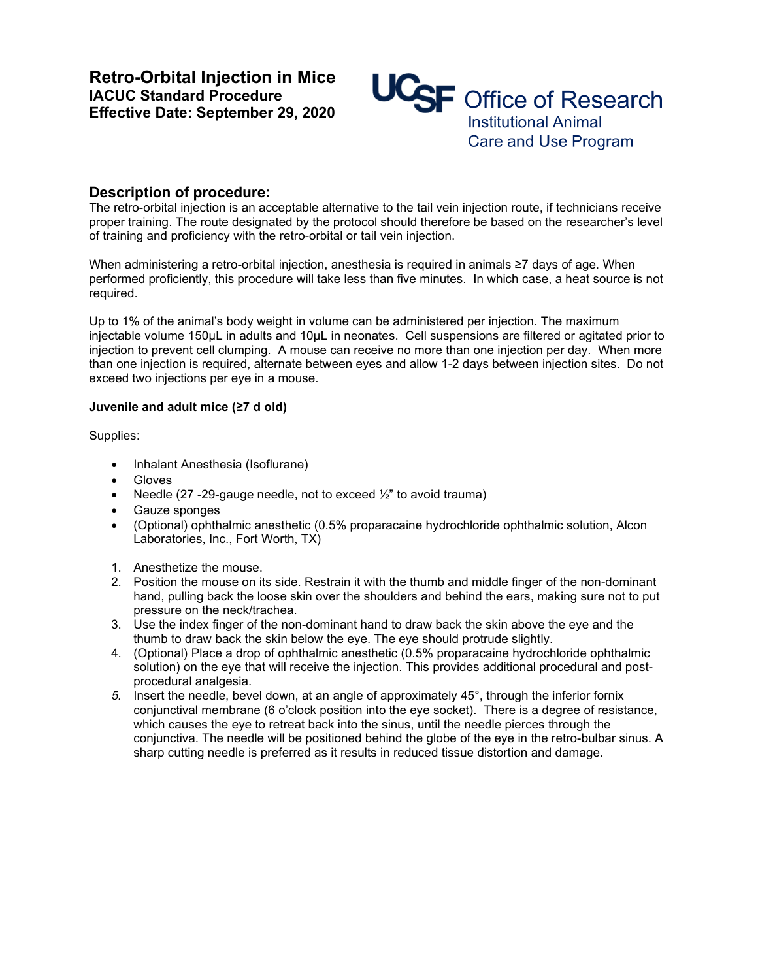**Retro-Orbital Injection in Mice IACUC Standard Procedure Effective Date: September 29, 2020** 



## **Description of procedure:**

The retro-orbital injection is an acceptable alternative to the tail vein injection route, if technicians receive proper training. The route designated by the protocol should therefore be based on the researcher's level of training and proficiency with the retro-orbital or tail vein injection.

When administering a retro-orbital injection, anesthesia is required in animals ≥7 days of age. When performed proficiently, this procedure will take less than five minutes. In which case, a heat source is not required.

Up to 1% of the animal's body weight in volume can be administered per injection. The maximum injectable volume 150µL in adults and 10µL in neonates.Cell suspensions are filtered or agitated prior to injection to prevent cell clumping. A mouse can receive no more than one injection per day. When more than one injection is required, alternate between eyes and allow 1-2 days between injection sites. Do not exceed two injections per eye in a mouse.

## **Juvenile and adult mice (≥7 d old)**

Supplies:

- Inhalant Anesthesia (Isoflurane)
- Gloves
- Needle (27 -29-gauge needle, not to exceed  $\frac{1}{2}$ " to avoid trauma)
- Gauze sponges
- (Optional) ophthalmic anesthetic (0.5% proparacaine hydrochloride ophthalmic solution, Alcon Laboratories, Inc., Fort Worth, TX)
- 1. Anesthetize the mouse.
- 2. Position the mouse on its side. Restrain it with the thumb and middle finger of the non-dominant hand, pulling back the loose skin over the shoulders and behind the ears, making sure not to put pressure on the neck/trachea.
- 3. Use the index finger of the non-dominant hand to draw back the skin above the eye and the thumb to draw back the skin below the eye. The eye should protrude slightly.
- 4. (Optional) Place a drop of ophthalmic anesthetic (0.5% proparacaine hydrochloride ophthalmic solution) on the eye that will receive the injection. This provides additional procedural and postprocedural analgesia.
- *5.* Insert the needle, bevel down, at an angle of approximately 45°, through the inferior fornix conjunctival membrane (6 o'clock position into the eye socket). There is a degree of resistance, which causes the eye to retreat back into the sinus, until the needle pierces through the conjunctiva. The needle will be positioned behind the globe of the eye in the retro-bulbar sinus. A sharp cutting needle is preferred as it results in reduced tissue distortion and damage.